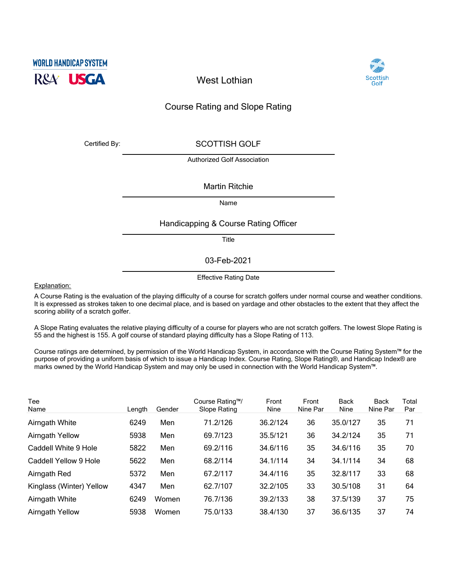



**West Lothian**

## Course Rating and Slope Rating

Certified By: SCOTTISH GOLF

Authorized Golf Association

## Martin Ritchie

Name

## Handicapping & Course Rating Officer

Title

03-Feb-2021

Effective Rating Date

Explanation:

A Course Rating is the evaluation of the playing difficulty of a course for scratch golfers under normal course and weather conditions. It is expressed as strokes taken to one decimal place, and is based on yardage and other obstacles to the extent that they affect the scoring ability of a scratch golfer.

A Slope Rating evaluates the relative playing difficulty of a course for players who are not scratch golfers. The lowest Slope Rating is 55 and the highest is 155. A golf course of standard playing difficulty has a Slope Rating of 113.

Course ratings are determined, by permission of the World Handicap System, in accordance with the Course Rating System™ for the purpose of providing a uniform basis of which to issue a Handicap Index. Course Rating, Slope Rating®, and Handicap Index® are marks owned by the World Handicap System and may only be used in connection with the World Handicap System™.

| Tee<br>Name              | Lenath | Gender | Course Rating™/<br>Slope Rating | Front<br>Nine | Front<br>Nine Par | <b>Back</b><br>Nine | <b>Back</b><br>Nine Par | Total<br>Par |
|--------------------------|--------|--------|---------------------------------|---------------|-------------------|---------------------|-------------------------|--------------|
| Airngath White           | 6249   | Men    | 71.2/126                        | 36.2/124      | 36                | 35.0/127            | 35                      | 71           |
| <b>Airngath Yellow</b>   | 5938   | Men    | 69.7/123                        | 35.5/121      | 36                | 34.2/124            | 35                      | 71           |
| Caddell White 9 Hole     | 5822   | Men    | 69.2/116                        | 34.6/116      | 35                | 34.6/116            | 35                      | 70           |
| Caddell Yellow 9 Hole    | 5622   | Men    | 68.2/114                        | 34.1/114      | 34                | 34.1/114            | 34                      | 68           |
| Airngath Red             | 5372   | Men    | 67.2/117                        | 34.4/116      | 35                | 32.8/117            | 33                      | 68           |
| Kinglass (Winter) Yellow | 4347   | Men    | 62.7/107                        | 32.2/105      | 33                | 30.5/108            | 31                      | 64           |
| Airngath White           | 6249   | Women  | 76.7/136                        | 39.2/133      | 38                | 37.5/139            | 37                      | 75           |
| <b>Airngath Yellow</b>   | 5938   | Women  | 75.0/133                        | 38.4/130      | 37                | 36.6/135            | 37                      | 74           |